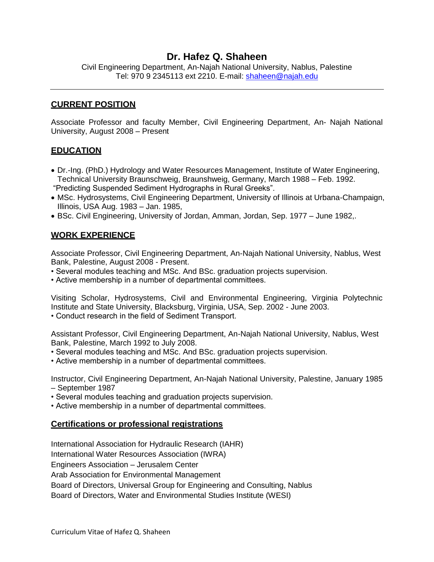# **Dr. Hafez Q. Shaheen**

Civil Engineering Department, An-Najah National University, Nablus, Palestine Tel: 970 9 2345113 ext 2210. E-mail: [shaheen@najah.edu](mailto:shaheen@najah.edu)

### **CURRENT POSITION**

Associate Professor and faculty Member, Civil Engineering Department, An- Najah National University, August 2008 – Present

### **EDUCATION**

- Dr.-Ing. (PhD.) Hydrology and Water Resources Management, Institute of Water Engineering, Technical University Braunschweig, Braunshweig, Germany, March 1988 – Feb. 1992. "Predicting Suspended Sediment Hydrographs in Rural Greeks".
- MSc. Hydrosystems, Civil Engineering Department, University of Illinois at Urbana-Champaign, Illinois, USA Aug. 1983 – Jan. 1985,
- BSc. Civil Engineering, University of Jordan, Amman, Jordan, Sep. 1977 June 1982,.

### **WORK EXPERIENCE**

Associate Professor, Civil Engineering Department, An-Najah National University, Nablus, West Bank, Palestine, August 2008 - Present.

- Several modules teaching and MSc. And BSc. graduation projects supervision.
- Active membership in a number of departmental committees.

Visiting Scholar, Hydrosystems, Civil and Environmental Engineering, Virginia Polytechnic Institute and State University, Blacksburg, Virginia, USA, Sep. 2002 - June 2003.

• Conduct research in the field of Sediment Transport.

Assistant Professor, Civil Engineering Department, An-Najah National University, Nablus, West Bank, Palestine, March 1992 to July 2008.

- Several modules teaching and MSc. And BSc. graduation projects supervision.
- Active membership in a number of departmental committees.

Instructor, Civil Engineering Department, An-Najah National University, Palestine, January 1985 – September 1987

- Several modules teaching and graduation projects supervision.
- Active membership in a number of departmental committees.

## **Certifications or professional registrations**

International Association for Hydraulic Research (IAHR)

International Water Resources Association (IWRA)

Engineers Association – Jerusalem Center

Arab Association for Environmental Management

Board of Directors, Universal Group for Engineering and Consulting, Nablus

Board of Directors, Water and Environmental Studies Institute (WESI)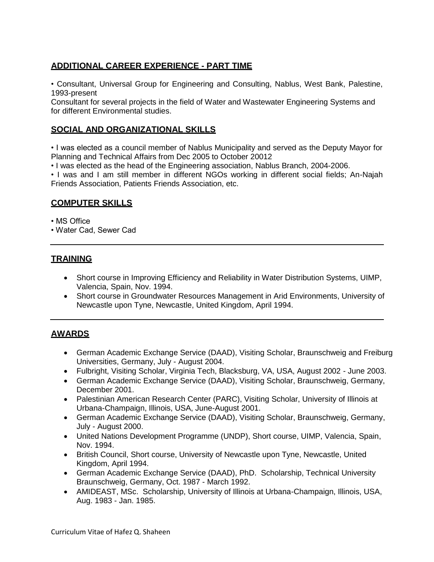# **ADDITIONAL CAREER EXPERIENCE - PART TIME**

• Consultant, Universal Group for Engineering and Consulting, Nablus, West Bank, Palestine, 1993-present

Consultant for several projects in the field of Water and Wastewater Engineering Systems and for different Environmental studies.

## **SOCIAL AND ORGANIZATIONAL SKILLS**

• I was elected as a council member of Nablus Municipality and served as the Deputy Mayor for Planning and Technical Affairs from Dec 2005 to October 20012

• I was elected as the head of the Engineering association, Nablus Branch, 2004-2006.

• I was and I am still member in different NGOs working in different social fields; An-Najah Friends Association, Patients Friends Association, etc.

## **COMPUTER SKILLS**

• MS Office

• Water Cad, Sewer Cad

# **TRAINING**

- Short course in Improving Efficiency and Reliability in Water Distribution Systems, UIMP, Valencia, Spain, Nov. 1994.
- Short course in Groundwater Resources Management in Arid Environments, University of Newcastle upon Tyne, Newcastle, United Kingdom, April 1994.

# **AWARDS**

- German Academic Exchange Service (DAAD), Visiting Scholar, Braunschweig and Freiburg Universities, Germany, July - August 2004.
- Fulbright, Visiting Scholar, Virginia Tech, Blacksburg, VA, USA, August 2002 June 2003.
- German Academic Exchange Service (DAAD), Visiting Scholar, Braunschweig, Germany, December 2001.
- Palestinian American Research Center (PARC), Visiting Scholar, University of Illinois at Urbana-Champaign, Illinois, USA, June-August 2001.
- German Academic Exchange Service (DAAD), Visiting Scholar, Braunschweig, Germany, July - August 2000.
- United Nations Development Programme (UNDP), Short course, UIMP, Valencia, Spain, Nov. 1994.
- British Council, Short course, University of Newcastle upon Tyne, Newcastle, United Kingdom, April 1994.
- German Academic Exchange Service (DAAD), PhD. Scholarship, Technical University Braunschweig, Germany, Oct. 1987 - March 1992.
- AMIDEAST, MSc. Scholarship, University of Illinois at Urbana-Champaign, Illinois, USA, Aug. 1983 - Jan. 1985.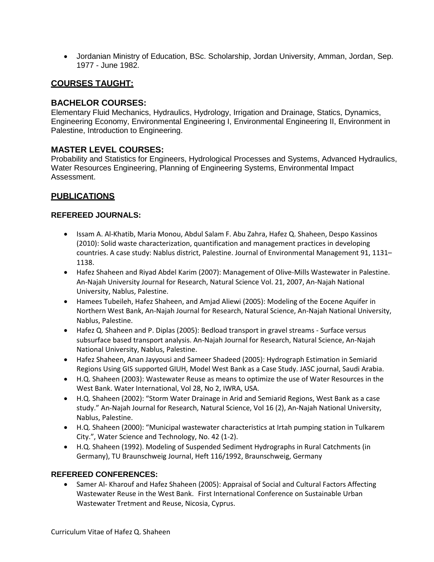Jordanian Ministry of Education, BSc. Scholarship, Jordan University, Amman, Jordan, Sep. 1977 - June 1982.

# **COURSES TAUGHT:**

## **BACHELOR COURSES:**

Elementary Fluid Mechanics, Hydraulics, Hydrology, Irrigation and Drainage, Statics, Dynamics, Engineering Economy, Environmental Engineering I, Environmental Engineering II, Environment in Palestine, Introduction to Engineering.

#### **MASTER LEVEL COURSES:**

Probability and Statistics for Engineers, Hydrological Processes and Systems, Advanced Hydraulics, Water Resources Engineering, Planning of Engineering Systems, Environmental Impact Assessment.

## **PUBLICATIONS**

#### **REFEREED JOURNALS:**

- Issam A. Al-Khatib, Maria Monou, Abdul Salam F. Abu Zahra, Hafez Q. Shaheen, Despo Kassinos (2010): Solid waste characterization, quantification and management practices in developing countries. A case study: Nablus district, Palestine. Journal of Environmental Management 91, 1131– 1138.
- Hafez Shaheen and Riyad Abdel Karim (2007): Management of Olive-Mills Wastewater in Palestine. An-Najah University Journal for Research, Natural Science Vol. 21, 2007, An-Najah National University, Nablus, Palestine.
- Hamees Tubeileh, Hafez Shaheen, and Amjad Aliewi (2005): Modeling of the Eocene Aquifer in Northern West Bank, An-Najah Journal for Research, Natural Science, An-Najah National University, Nablus, Palestine.
- Hafez Q. Shaheen and P. Diplas (2005): Bedload transport in gravel streams Surface versus subsurface based transport analysis. An-Najah Journal for Research, Natural Science, An-Najah National University, Nablus, Palestine.
- Hafez Shaheen, Anan Jayyousi and Sameer Shadeed (2005): Hydrograph Estimation in Semiarid Regions Using GIS supported GIUH, Model West Bank as a Case Study. JASC journal, Saudi Arabia.
- H.Q. Shaheen (2003): Wastewater Reuse as means to optimize the use of Water Resources in the West Bank. Water International, Vol 28, No 2, IWRA, USA.
- H.Q. Shaheen (2002): "Storm Water Drainage in Arid and Semiarid Regions, West Bank as a case study." An-Najah Journal for Research, Natural Science, Vol 16 (2), An-Najah National University, Nablus, Palestine.
- H.Q. Shaheen (2000): "Municipal wastewater characteristics at Irtah pumping station in Tulkarem City.", Water Science and Technology, No. 42 (1-2).
- H.Q. Shaheen (1992). Modeling of Suspended Sediment Hydrographs in Rural Catchments (in Germany), TU Braunschweig Journal, Heft 116/1992, Braunschweig, Germany

#### **REFEREED CONFERENCES:**

 Samer Al- Kharouf and Hafez Shaheen (2005): Appraisal of Social and Cultural Factors Affecting Wastewater Reuse in the West Bank. First International Conference on Sustainable Urban Wastewater Tretment and Reuse, Nicosia, Cyprus.